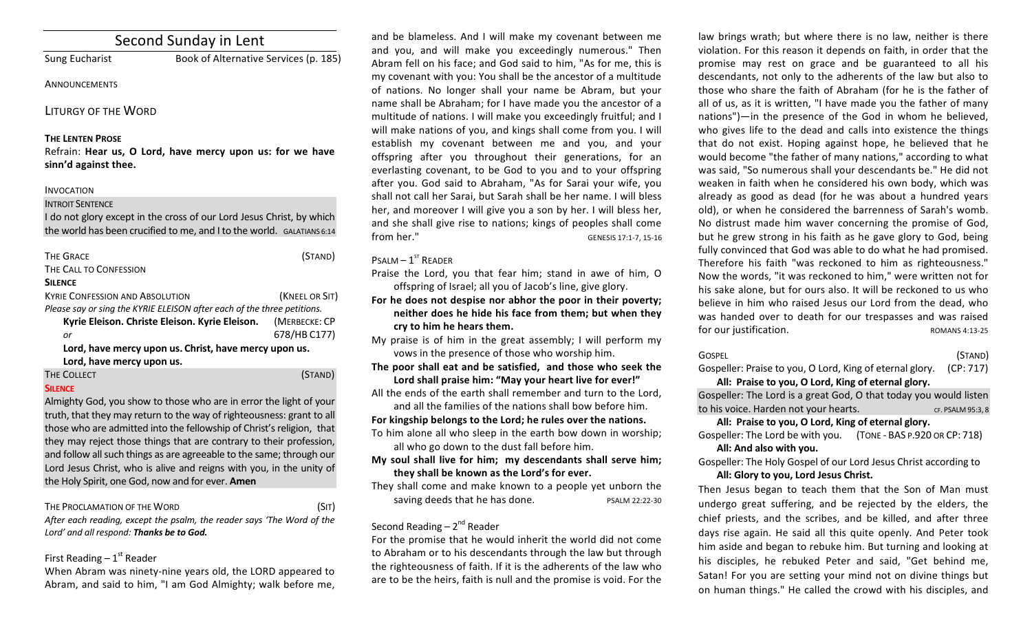# Second Sunday in Lent

Sung Eucharist Book of Alternative Services (p. 185)

## **ANNOUNCEMENTS**

## LITURGY OF THE WORD

## **THE LENTEN PROSE**

Refrain: Hear us, O Lord, have mercy upon us: for we have **sinn'd against thee.**

#### INVOCATION

## INTROIT SENTENCE

I do not glory except in the cross of our Lord Jesus Christ, by which the world has been crucified to me, and I to the world. GALATIANS 6:14

| <b>THE GRACE</b>                                                        | (STAND)        |  |
|-------------------------------------------------------------------------|----------------|--|
| THE CALL TO CONFESSION                                                  |                |  |
| <b>SILENCE</b>                                                          |                |  |
| <b>KYRIF CONFESSION AND ABSOLUTION</b>                                  | (KNEEL OR SIT) |  |
| Please say or sing the KYRIE ELEISON after each of the three petitions. |                |  |
| Kyrie Eleison. Christe Eleison. Kyrie Eleison.                          | (MERBECKE: CP  |  |
| or                                                                      | 678/HB C177)   |  |
| Lord, have mercy upon us. Christ, have mercy upon us.                   |                |  |
| Lord, have mercy upon us.                                               |                |  |
| <b>THE COLLECT</b>                                                      |                |  |

## **SILENCE**

Almighty God, you show to those who are in error the light of your truth, that they may return to the way of righteousness: grant to all those who are admitted into the fellowship of Christ's religion, that they may reject those things that are contrary to their profession, and follow all such things as are agreeable to the same; through our Lord Jesus Christ, who is alive and reigns with you, in the unity of the Holy Spirit, one God, now and for ever. Amen

THE PROCLAMATION OF THE WORD (SIT) After each reading, except the psalm, the reader says 'The Word of the Lord' and all respond: Thanks be to God.

## First Reading  $-1<sup>st</sup>$  Reader

When Abram was ninety-nine years old, the LORD appeared to Abram, and said to him, "I am God Almighty; walk before me,

and be blameless. And I will make my covenant between me and you, and will make you exceedingly numerous." Then Abram fell on his face; and God said to him, "As for me, this is my covenant with you: You shall be the ancestor of a multitude of nations. No longer shall your name be Abram, but your name shall be Abraham; for I have made you the ancestor of a multitude of nations. I will make you exceedingly fruitful; and I will make nations of you, and kings shall come from you. I will establish my covenant between me and you, and your offspring after you throughout their generations, for an everlasting covenant, to be God to you and to your offspring after you. God said to Abraham, "As for Sarai your wife, you shall not call her Sarai, but Sarah shall be her name. I will bless her, and moreover I will give you a son by her. I will bless her, and she shall give rise to nations; kings of peoples shall come from her." GENESIS 17:1-7, 15-16

## $P$ SALM –  $1^{ST}$  RFADER

Praise the Lord, you that fear him; stand in awe of him, O offspring of Israel; all you of Jacob's line, give glory.

- For he does not despise nor abhor the poor in their poverty; neither does he hide his face from them; but when they **cry to him he hears them.**
- My praise is of him in the great assembly; I will perform my vows in the presence of those who worship him.
- The poor shall eat and be satisfied, and those who seek the Lord shall praise him: "May your heart live for ever!"
- All the ends of the earth shall remember and turn to the Lord, and all the families of the nations shall bow before him.

## For kingship belongs to the Lord; he rules over the nations.

- To him alone all who sleep in the earth bow down in worship: all who go down to the dust fall before him.
- **My soul shall live for him; my descendants shall serve him;** they shall be known as the Lord's for ever.
- They shall come and make known to a people yet unborn the saving deeds that he has done. The PSALM 22:22-30

## Second Reading  $- 2<sup>nd</sup>$  Reader

For the promise that he would inherit the world did not come to Abraham or to his descendants through the law but through the righteousness of faith. If it is the adherents of the law who are to be the heirs, faith is null and the promise is void. For the

law brings wrath; but where there is no law, neither is there violation. For this reason it depends on faith, in order that the promise may rest on grace and be guaranteed to all his descendants, not only to the adherents of the law but also to those who share the faith of Abraham (for he is the father of all of us, as it is written, "I have made you the father of many nations")—in the presence of the God in whom he believed, who gives life to the dead and calls into existence the things that do not exist. Hoping against hope, he believed that he would become "the father of many nations," according to what was said, "So numerous shall your descendants be." He did not weaken in faith when he considered his own body, which was already as good as dead (for he was about a hundred years old), or when he considered the barrenness of Sarah's womb. No distrust made him waver concerning the promise of God, but he grew strong in his faith as he gave glory to God, being fully convinced that God was able to do what he had promised. Therefore his faith "was reckoned to him as righteousness." Now the words, "it was reckoned to him," were written not for his sake alone, but for ours also. It will be reckoned to us who believe in him who raised Jesus our Lord from the dead, who was handed over to death for our trespasses and was raised for our justification. The state of the ROMANS 4:13-25

#### $\overline{S}$  GOSPEL  $\overline{S}$   $\overline{S}$   $\overline{S}$   $\overline{S}$   $\overline{S}$   $\overline{S}$   $\overline{S}$   $\overline{S}$   $\overline{S}$   $\overline{S}$   $\overline{S}$   $\overline{S}$   $\overline{S}$   $\overline{S}$   $\overline{S}$   $\overline{S}$   $\overline{S}$   $\overline{S}$   $\overline{S}$   $\overline{S}$   $\overline{S}$   $\overline{S}$   $\overline{S}$

Gospeller: Praise to you, O Lord, King of eternal glory. (CP: 717) All: Praise to you, O Lord, King of eternal glory.

Gospeller: The Lord is a great God, O that today you would listen to his voice. Harden not vour hearts. The contract of the system of the state of the state of the state of the state of the state of the state of the state of the state of the state of the state of the state of the state o

## All: Praise to you, O Lord, King of eternal glory.

Gospeller: The Lord be with you. (TONE - BAS P.920 OR CP: 718) All: And also with you.

Gospeller: The Holy Gospel of our Lord Jesus Christ according to All: Glory to you, Lord Jesus Christ.

Then Jesus began to teach them that the Son of Man must undergo great suffering, and be rejected by the elders, the chief priests, and the scribes, and be killed, and after three days rise again. He said all this quite openly. And Peter took him aside and began to rebuke him. But turning and looking at his disciples, he rebuked Peter and said, "Get behind me, Satan! For you are setting your mind not on divine things but on human things." He called the crowd with his disciples, and